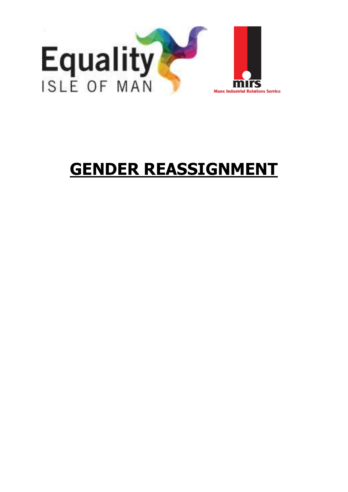

# **GENDER REASSIGNMENT**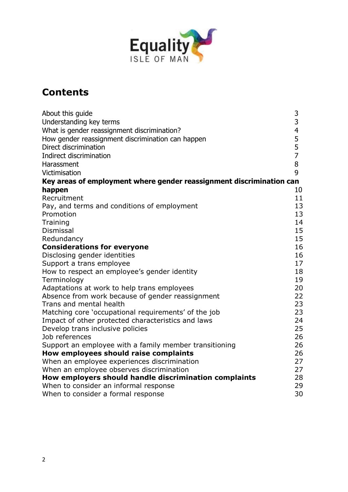

# **Contents**

| About this guide                                                     | 3                       |
|----------------------------------------------------------------------|-------------------------|
| Understanding key terms                                              | 3                       |
| What is gender reassignment discrimination?                          | $\overline{\mathbf{r}}$ |
| How gender reassignment discrimination can happen                    | 5                       |
| Direct discrimination                                                | 5                       |
| Indirect discrimination                                              | $\overline{7}$          |
| Harassment                                                           | 8                       |
| Victimisation                                                        | 9                       |
| Key areas of employment where gender reassignment discrimination can |                         |
| happen                                                               | 10                      |
| Recruitment                                                          | 11                      |
| Pay, and terms and conditions of employment                          | 13                      |
| Promotion                                                            | 13                      |
| Training                                                             | 14                      |
| Dismissal                                                            | 15                      |
| Redundancy                                                           | 15                      |
| <b>Considerations for everyone</b>                                   | 16                      |
| Disclosing gender identities                                         | 16                      |
| Support a trans employee                                             | 17                      |
| How to respect an employee's gender identity                         | 18                      |
| Terminology                                                          | 19                      |
| Adaptations at work to help trans employees                          | 20                      |
| Absence from work because of gender reassignment                     | 22                      |
| Trans and mental health                                              | 23                      |
| Matching core 'occupational requirements' of the job                 | 23                      |
| Impact of other protected characteristics and laws                   | 24                      |
| Develop trans inclusive policies                                     | 25                      |
| Job references                                                       | 26                      |
| Support an employee with a family member transitioning               | 26                      |
| How employees should raise complaints                                | 26                      |
| When an employee experiences discrimination                          | 27                      |
| When an employee observes discrimination                             | 27                      |
| How employers should handle discrimination complaints                | 28                      |
| When to consider an informal response                                | 29                      |
| When to consider a formal response                                   | 30                      |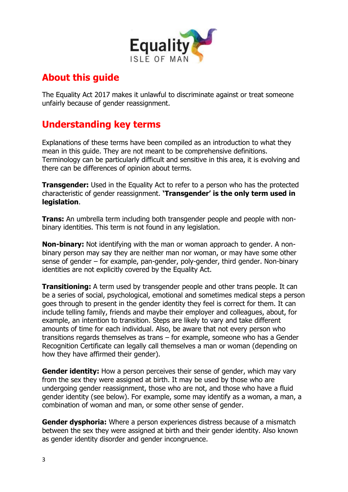

# **About this guide**

The Equality Act 2017 makes it unlawful to discriminate against or treat someone unfairly because of gender reassignment.

# **Understanding key terms**

Explanations of these terms have been compiled as an introduction to what they mean in this guide. They are not meant to be comprehensive definitions. Terminology can be particularly difficult and sensitive in this area, it is evolving and there can be differences of opinion about terms.

**Transgender:** Used in the Equality Act to refer to a person who has the protected characteristic of gender reassignment. **'Transgender' is the only term used in legislation**.

**Trans:** An umbrella term including both transgender people and people with nonbinary identities. This term is not found in any legislation.

**Non-binary:** Not identifying with the man or woman approach to gender. A nonbinary person may say they are neither man nor woman, or may have some other sense of gender – for example, pan-gender, poly-gender, third gender. Non-binary identities are not explicitly covered by the Equality Act.

**Transitioning:** A term used by transgender people and other trans people. It can be a series of social, psychological, emotional and sometimes medical steps a person goes through to present in the gender identity they feel is correct for them. It can include telling family, friends and maybe their employer and colleagues, about, for example, an intention to transition. Steps are likely to vary and take different amounts of time for each individual. Also, be aware that not every person who transitions regards themselves as trans – for example, someone who has a Gender Recognition Certificate can legally call themselves a man or woman (depending on how they have affirmed their gender).

**Gender identity:** How a person perceives their sense of gender, which may vary from the sex they were assigned at birth. It may be used by those who are undergoing gender reassignment, those who are not, and those who have a fluid gender identity (see below). For example, some may identify as a woman, a man, a combination of woman and man, or some other sense of gender.

**Gender dysphoria:** Where a person experiences distress because of a mismatch between the sex they were assigned at birth and their gender identity. Also known as gender identity disorder and gender incongruence.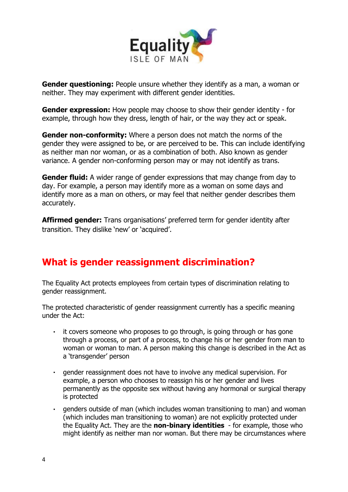

**Gender questioning:** People unsure whether they identify as a man, a woman or neither. They may experiment with different gender identities.

**Gender expression:** How people may choose to show their gender identity - for example, through how they dress, length of hair, or the way they act or speak.

**Gender non-conformity:** Where a person does not match the norms of the gender they were assigned to be, or are perceived to be. This can include identifying as neither man nor woman, or as a combination of both. Also known as gender variance. A gender non-conforming person may or may not identify as trans.

**Gender fluid:** A wider range of gender expressions that may change from day to day. For example, a person may identify more as a woman on some days and identify more as a man on others, or may feel that neither gender describes them accurately.

**Affirmed gender:** Trans organisations' preferred term for gender identity after transition. They dislike 'new' or 'acquired'.

# **What is gender reassignment discrimination?**

The Equality Act protects employees from certain types of discrimination relating to gender reassignment.

The protected characteristic of gender reassignment currently has a specific meaning under the Act:

- it covers someone who proposes to go through, is going through or has gone  $\mathbf{r}$ through a process, or part of a process, to change his or her gender from man to woman or woman to man. A person making this change is described in the Act as a 'transgender' person
- gender reassignment does not have to involve any medical supervision. For example, a person who chooses to reassign his or her gender and lives permanently as the opposite sex without having any hormonal or surgical therapy is protected
- genders outside of man (which includes woman transitioning to man) and woman e i (which includes man transitioning to woman) are not explicitly protected under the Equality Act. They are the **non-binary identities** - for example, those who might identify as neither man nor woman. But there may be circumstances where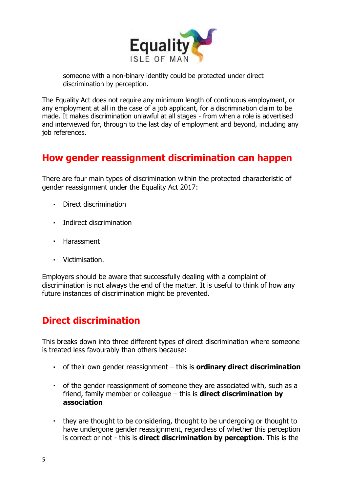

someone with a non-binary identity could be protected under direct discrimination by perception.

The Equality Act does not require any minimum length of continuous employment, or any employment at all in the case of a job applicant, for a discrimination claim to be made. It makes discrimination unlawful at all stages - from when a role is advertised and interviewed for, through to the last day of employment and beyond, including any job references.

# **How gender reassignment discrimination can happen**

There are four main types of discrimination within the protected characteristic of gender reassignment under the Equality Act 2017:

- Direct discrimination
- **Indirect discrimination**
- Harassment
- Victimisation.

Employers should be aware that successfully dealing with a complaint of discrimination is not always the end of the matter. It is useful to think of how any future instances of discrimination might be prevented.

# **Direct discrimination**

This breaks down into three different types of direct discrimination where someone is treated less favourably than others because:

- of their own gender reassignment this is **ordinary direct discrimination**
- of the gender reassignment of someone they are associated with, such as a friend, family member or colleague – this is **direct discrimination by association**
- $\mathbf{r}$  . they are thought to be considering, thought to be undergoing or thought to have undergone gender reassignment, regardless of whether this perception is correct or not - this is **direct discrimination by perception**. This is the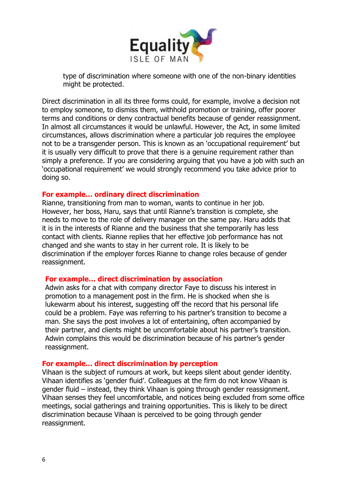

type of discrimination where someone with one of the non-binary identities might be protected.

Direct discrimination in all its three forms could, for example, involve a decision not to employ someone, to dismiss them, withhold promotion or training, offer poorer terms and conditions or deny contractual benefits because of gender reassignment. In almost all circumstances it would be unlawful. However, the Act, in some limited circumstances, allows discrimination where a particular job requires the employee not to be a transgender person. This is known as an 'occupational requirement' but it is usually very difficult to prove that there is a genuine requirement rather than simply a preference. If you are considering arguing that you have a job with such an 'occupational requirement' we would strongly recommend you take advice prior to doing so.

#### **For example… ordinary direct discrimination**

Rianne, transitioning from man to woman, wants to continue in her job. However, her boss, Haru, says that until Rianne's transition is complete, she needs to move to the role of delivery manager on the same pay. Haru adds that it is in the interests of Rianne and the business that she temporarily has less contact with clients. Rianne replies that her effective job performance has not changed and she wants to stay in her current role. It is likely to be discrimination if the employer forces Rianne to change roles because of gender reassignment.

#### **For example… direct discrimination by association**

Adwin asks for a chat with company director Faye to discuss his interest in promotion to a management post in the firm. He is shocked when she is lukewarm about his interest, suggesting off the record that his personal life could be a problem. Faye was referring to his partner's transition to become a man. She says the post involves a lot of entertaining, often accompanied by their partner, and clients might be uncomfortable about his partner's transition. Adwin complains this would be discrimination because of his partner's gender reassignment.

#### **For example… direct discrimination by perception**

Vihaan is the subject of rumours at work, but keeps silent about gender identity. Vihaan identifies as 'gender fluid'. Colleagues at the firm do not know Vihaan is gender fluid – instead, they think Vihaan is going through gender reassignment. Vihaan senses they feel uncomfortable, and notices being excluded from some office meetings, social gatherings and training opportunities. This is likely to be direct discrimination because Vihaan is perceived to be going through gender reassignment.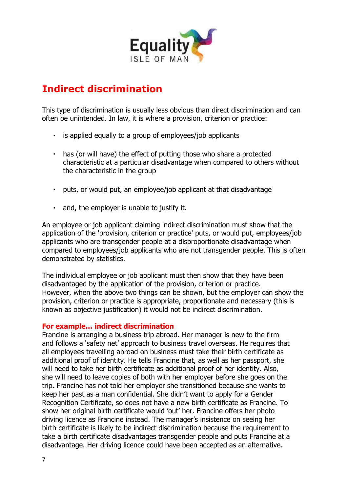

# **Indirect discrimination**

This type of discrimination is usually less obvious than direct discrimination and can often be unintended. In law, it is where a provision, criterion or practice:

- is applied equally to a group of employees/job applicants
- $\mathbf{r} \in \mathbb{R}^d$ has (or will have) the effect of putting those who share a protected characteristic at a particular disadvantage when compared to others without the characteristic in the group
- puts, or would put, an employee/job applicant at that disadvantage
- and, the employer is unable to justify it.

An employee or job applicant claiming indirect discrimination must show that the application of the 'provision, criterion or practice' puts, or would put, employees/job applicants who are transgender people at a disproportionate disadvantage when compared to employees/job applicants who are not transgender people. This is often demonstrated by statistics.

The individual employee or job applicant must then show that they have been disadvantaged by the application of the provision, criterion or practice. However, when the above two things can be shown, but the employer can show the provision, criterion or practice is appropriate, proportionate and necessary (this is known as objective justification) it would not be indirect discrimination.

#### **For example… indirect discrimination**

Francine is arranging a business trip abroad. Her manager is new to the firm and follows a 'safety net' approach to business travel overseas. He requires that all employees travelling abroad on business must take their birth certificate as additional proof of identity. He tells Francine that, as well as her passport, she will need to take her birth certificate as additional proof of her identity. Also, she will need to leave copies of both with her employer before she goes on the trip. Francine has not told her employer she transitioned because she wants to keep her past as a man confidential. She didn't want to apply for a Gender Recognition Certificate, so does not have a new birth certificate as Francine. To show her original birth certificate would 'out' her. Francine offers her photo driving licence as Francine instead. The manager's insistence on seeing her birth certificate is likely to be indirect discrimination because the requirement to take a birth certificate disadvantages transgender people and puts Francine at a disadvantage. Her driving licence could have been accepted as an alternative.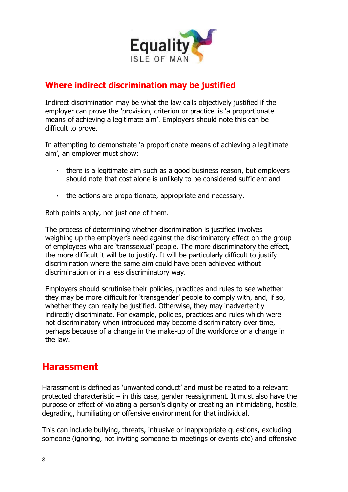

# **Where indirect discrimination may be justified**

Indirect discrimination may be what the law calls objectively justified if the employer can prove the 'provision, criterion or practice' is 'a proportionate means of achieving a legitimate aim'. Employers should note this can be difficult to prove.

In attempting to demonstrate 'a proportionate means of achieving a legitimate aim', an employer must show:

- there is a legitimate aim such as a good business reason, but employers should note that cost alone is unlikely to be considered sufficient and
- the actions are proportionate, appropriate and necessary.

Both points apply, not just one of them.

The process of determining whether discrimination is justified involves weighing up the employer's need against the discriminatory effect on the group of employees who are 'transsexual' people. The more discriminatory the effect, the more difficult it will be to justify. It will be particularly difficult to justify discrimination where the same aim could have been achieved without discrimination or in a less discriminatory way.

Employers should scrutinise their policies, practices and rules to see whether they may be more difficult for 'transgender' people to comply with, and, if so, whether they can really be justified. Otherwise, they may inadvertently indirectly discriminate. For example, policies, practices and rules which were not discriminatory when introduced may become discriminatory over time, perhaps because of a change in the make-up of the workforce or a change in the law.

# **Harassment**

Harassment is defined as 'unwanted conduct' and must be related to a relevant protected characteristic – in this case, gender reassignment. It must also have the purpose or effect of violating a person's dignity or creating an intimidating, hostile, degrading, humiliating or offensive environment for that individual.

This can include bullying, threats, intrusive or inappropriate questions, excluding someone (ignoring, not inviting someone to meetings or events etc) and offensive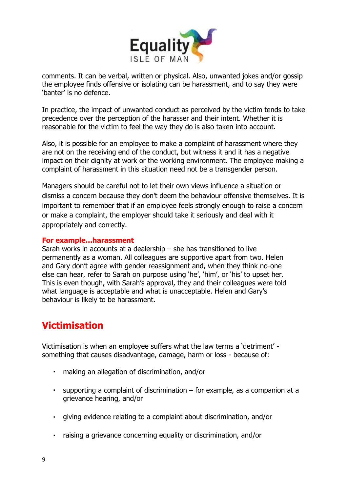

comments. It can be verbal, written or physical. Also, unwanted jokes and/or gossip the employee finds offensive or isolating can be harassment, and to say they were 'banter' is no defence.

In practice, the impact of unwanted conduct as perceived by the victim tends to take precedence over the perception of the harasser and their intent. Whether it is reasonable for the victim to feel the way they do is also taken into account.

Also, it is possible for an employee to make a complaint of harassment where they are not on the receiving end of the conduct, but witness it and it has a negative impact on their dignity at work or the working environment. The employee making a complaint of harassment in this situation need not be a transgender person.

Managers should be careful not to let their own views influence a situation or dismiss a concern because they don't deem the behaviour offensive themselves. It is important to remember that if an employee feels strongly enough to raise a concern or make a complaint, the employer should take it seriously and deal with it appropriately and correctly.

#### **For example…harassment**

Sarah works in accounts at a dealership – she has transitioned to live permanently as a woman. All colleagues are supportive apart from two. Helen and Gary don't agree with gender reassignment and, when they think no-one else can hear, refer to Sarah on purpose using 'he', 'him', or 'his' to upset her. This is even though, with Sarah's approval, they and their colleagues were told what language is acceptable and what is unacceptable. Helen and Gary's behaviour is likely to be harassment.

# **Victimisation**

Victimisation is when an employee suffers what the law terms a 'detriment' something that causes disadvantage, damage, harm or loss - because of:

- making an allegation of discrimination, and/or  $\mathbf{r}$  .
- supporting a complaint of discrimination  $-$  for example, as a companion at a grievance hearing, and/or
- giving evidence relating to a complaint about discrimination, and/or
- raising a grievance concerning equality or discrimination, and/or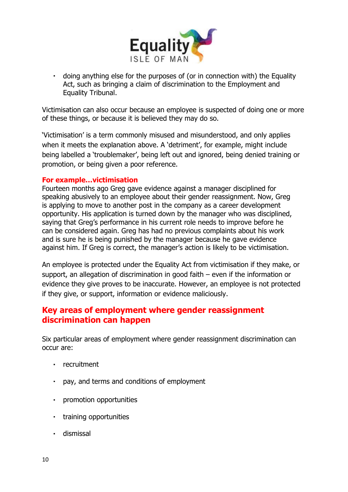

doing anything else for the purposes of (or in connection with) the Equality Act, such as bringing a claim of discrimination to the Employment and Equality Tribunal.

Victimisation can also occur because an employee is suspected of doing one or more of these things, or because it is believed they may do so.

'Victimisation' is a term commonly misused and misunderstood, and only applies when it meets the explanation above. A 'detriment', for example, might include being labelled a 'troublemaker', being left out and ignored, being denied training or promotion, or being given a poor reference.

#### **For example…victimisation**

Fourteen months ago Greg gave evidence against a manager disciplined for speaking abusively to an employee about their gender reassignment. Now, Greg is applying to move to another post in the company as a career development opportunity. His application is turned down by the manager who was disciplined, saying that Greg's performance in his current role needs to improve before he can be considered again. Greg has had no previous complaints about his work and is sure he is being punished by the manager because he gave evidence against him. If Greg is correct, the manager's action is likely to be victimisation.

An employee is protected under the Equality Act from victimisation if they make, or support, an allegation of discrimination in good faith – even if the information or evidence they give proves to be inaccurate. However, an employee is not protected if they give, or support, information or evidence maliciously.

## **Key areas of employment where gender reassignment discrimination can happen**

Six particular areas of employment where gender reassignment discrimination can occur are:

- recruitment
- pay, and terms and conditions of employment
- promotion opportunities
- training opportunities
- dismissal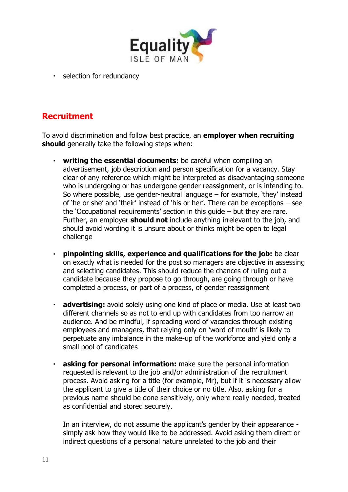

· selection for redundancy

# **Recruitment**

To avoid discrimination and follow best practice, an **employer when recruiting should** generally take the following steps when:

- **writing the essential documents:** be careful when compiling an  $\blacksquare$ advertisement, job description and person specification for a vacancy. Stay clear of any reference which might be interpreted as disadvantaging someone who is undergoing or has undergone gender reassignment, or is intending to. So where possible, use gender-neutral language – for example, 'they' instead of 'he or she' and 'their' instead of 'his or her'. There can be exceptions – see the 'Occupational requirements' section in this guide – but they are rare. Further, an employer **should not** include anything irrelevant to the job, and should avoid wording it is unsure about or thinks might be open to legal challenge
- **pinpointing skills, experience and qualifications for the job:** be clear  $\mathbf{r}$  . on exactly what is needed for the post so managers are objective in assessing and selecting candidates. This should reduce the chances of ruling out a candidate because they propose to go through, are going through or have completed a process, or part of a process, of gender reassignment
- **advertising:** avoid solely using one kind of place or media. Use at least two  $\blacksquare$ different channels so as not to end up with candidates from too narrow an audience. And be mindful, if spreading word of vacancies through existing employees and managers, that relying only on 'word of mouth' is likely to perpetuate any imbalance in the make-up of the workforce and yield only a small pool of candidates
- **asking for personal information:** make sure the personal information ä, requested is relevant to the job and/or administration of the recruitment process. Avoid asking for a title (for example, Mr), but if it is necessary allow the applicant to give a title of their choice or no title. Also, asking for a previous name should be done sensitively, only where really needed, treated as confidential and stored securely.

In an interview, do not assume the applicant's gender by their appearance simply ask how they would like to be addressed. Avoid asking them direct or indirect questions of a personal nature unrelated to the job and their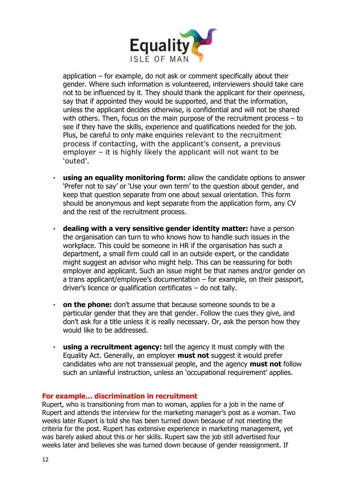

application – for example, do not ask or comment specifically about their gender. Where such information is volunteered, interviewers should take care not to be influenced by it. They should thank the applicant for their openness, say that if appointed they would be supported, and that the information, unless the applicant decides otherwise, is confidential and will not be shared with others. Then, focus on the main purpose of the recruitment process – to see if they have the skills, experience and qualifications needed for the job. Plus, be careful to only make enquiries relevant to the recruitment process if contacting, with the applicant's consent, a previous employer – it is highly likely the applicant will not want to be 'outed'.

- i. **using an equality monitoring form:** allow the candidate options to answer 'Prefer not to say' or 'Use your own term' to the question about gender, and keep that question separate from one about sexual orientation. This form should be anonymous and kept separate from the application form, any CV and the rest of the recruitment process.
- **dealing with a very sensitive gender identity matter:** have a person the organisation can turn to who knows how to handle such issues in the workplace. This could be someone in HR if the organisation has such a department, a small firm could call in an outside expert, or the candidate might suggest an advisor who might help. This can be reassuring for both employer and applicant. Such an issue might be that names and/or gender on a trans applicant/employee's documentation – for example, on their passport, driver's licence or qualification certificates – do not tally.
- $\mathcal{L}^{\text{max}}$ **on the phone:** don't assume that because someone sounds to be a particular gender that they are that gender. Follow the cues they give, and don't ask for a title unless it is really necessary. Or, ask the person how they would like to be addressed.
- **using a recruitment agency:** tell the agency it must comply with the  $\blacksquare$ Equality Act. Generally, an employer **must not** suggest it would prefer candidates who are not transsexual people, and the agency **must not** follow such an unlawful instruction, unless an 'occupational requirement' applies.

#### **For example… discrimination in recruitment**

Rupert, who is transitioning from man to woman, applies for a job in the name of Rupert and attends the interview for the marketing manager's post as a woman. Two weeks later Rupert is told she has been turned down because of not meeting the criteria for the post. Rupert has extensive experience in marketing management, yet was barely asked about this or her skills. Rupert saw the job still advertised four weeks later and believes she was turned down because of gender reassignment. If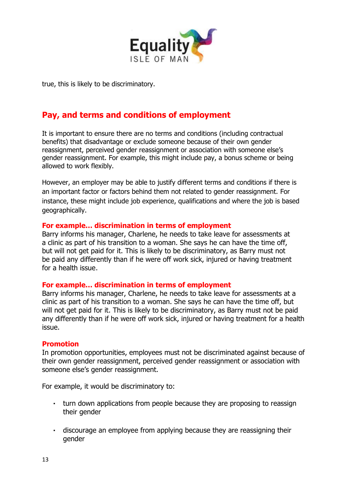

true, this is likely to be discriminatory.

# **Pay, and terms and conditions of employment**

It is important to ensure there are no terms and conditions (including contractual benefits) that disadvantage or exclude someone because of their own gender reassignment, perceived gender reassignment or association with someone else's gender reassignment. For example, this might include pay, a bonus scheme or being allowed to work flexibly.

However, an employer may be able to justify different terms and conditions if there is an important factor or factors behind them not related to gender reassignment. For instance, these might include job experience, qualifications and where the job is based geographically.

#### **For example… discrimination in terms of employment**

Barry informs his manager, Charlene, he needs to take leave for assessments at a clinic as part of his transition to a woman. She says he can have the time off, but will not get paid for it. This is likely to be discriminatory, as Barry must not be paid any differently than if he were off work sick, injured or having treatment for a health issue.

#### **For example… discrimination in terms of employment**

Barry informs his manager, Charlene, he needs to take leave for assessments at a clinic as part of his transition to a woman. She says he can have the time off, but will not get paid for it. This is likely to be discriminatory, as Barry must not be paid any differently than if he were off work sick, injured or having treatment for a health issue.

#### **Promotion**

In promotion opportunities, employees must not be discriminated against because of their own gender reassignment, perceived gender reassignment or association with someone else's gender reassignment.

For example, it would be discriminatory to:

- turn down applications from people because they are proposing to reassign their gender
- discourage an employee from applying because they are reassigning their gender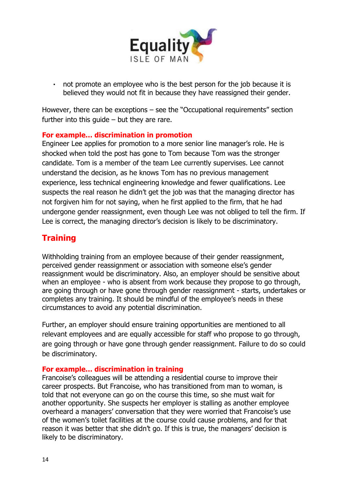

not promote an employee who is the best person for the job because it is  $\mathbf{r}$ believed they would not fit in because they have reassigned their gender.

However, there can be exceptions – see the "Occupational requirements" section further into this quide  $-$  but they are rare.

#### **For example… discrimination in promotion**

Engineer Lee applies for promotion to a more senior line manager's role. He is shocked when told the post has gone to Tom because Tom was the stronger candidate. Tom is a member of the team Lee currently supervises. Lee cannot understand the decision, as he knows Tom has no previous management experience, less technical engineering knowledge and fewer qualifications. Lee suspects the real reason he didn't get the job was that the managing director has not forgiven him for not saying, when he first applied to the firm, that he had undergone gender reassignment, even though Lee was not obliged to tell the firm. If Lee is correct, the managing director's decision is likely to be discriminatory.

## **Training**

Withholding training from an employee because of their gender reassignment, perceived gender reassignment or association with someone else's gender reassignment would be discriminatory. Also, an employer should be sensitive about when an employee - who is absent from work because they propose to go through, are going through or have gone through gender reassignment - starts, undertakes or completes any training. It should be mindful of the employee's needs in these circumstances to avoid any potential discrimination.

Further, an employer should ensure training opportunities are mentioned to all relevant employees and are equally accessible for staff who propose to go through, are going through or have gone through gender reassignment. Failure to do so could be discriminatory.

#### **For example… discrimination in training**

Francoise's colleagues will be attending a residential course to improve their career prospects. But Francoise, who has transitioned from man to woman, is told that not everyone can go on the course this time, so she must wait for another opportunity. She suspects her employer is stalling as another employee overheard a managers' conversation that they were worried that Francoise's use of the women's toilet facilities at the course could cause problems, and for that reason it was better that she didn't go. If this is true, the managers' decision is likely to be discriminatory.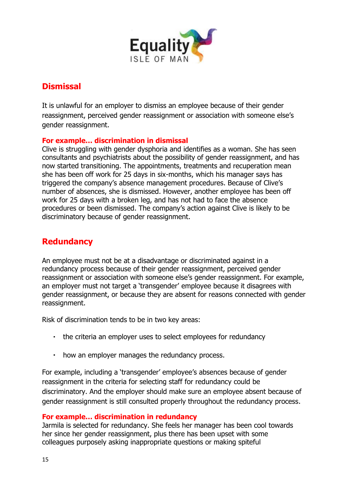

# **Dismissal**

It is unlawful for an employer to dismiss an employee because of their gender reassignment, perceived gender reassignment or association with someone else's gender reassignment.

#### **For example… discrimination in dismissal**

Clive is struggling with gender dysphoria and identifies as a woman. She has seen consultants and psychiatrists about the possibility of gender reassignment, and has now started transitioning. The appointments, treatments and recuperation mean she has been off work for 25 days in six-months, which his manager says has triggered the company's absence management procedures. Because of Clive's number of absences, she is dismissed. However, another employee has been off work for 25 days with a broken leg, and has not had to face the absence procedures or been dismissed. The company's action against Clive is likely to be discriminatory because of gender reassignment.

# **Redundancy**

An employee must not be at a disadvantage or discriminated against in a redundancy process because of their gender reassignment, perceived gender reassignment or association with someone else's gender reassignment. For example, an employer must not target a 'transgender' employee because it disagrees with gender reassignment, or because they are absent for reasons connected with gender reassignment.

Risk of discrimination tends to be in two key areas:

- the criteria an employer uses to select employees for redundancy
- how an employer manages the redundancy process.

For example, including a 'transgender' employee's absences because of gender reassignment in the criteria for selecting staff for redundancy could be discriminatory. And the employer should make sure an employee absent because of gender reassignment is still consulted properly throughout the redundancy process.

#### **For example… discrimination in redundancy**

Jarmila is selected for redundancy. She feels her manager has been cool towards her since her gender reassignment, plus there has been upset with some colleagues purposely asking inappropriate questions or making spiteful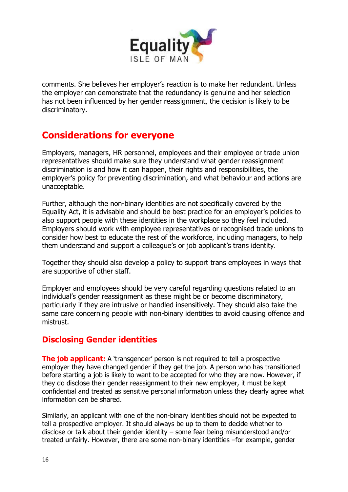

comments. She believes her employer's reaction is to make her redundant. Unless the employer can demonstrate that the redundancy is genuine and her selection has not been influenced by her gender reassignment, the decision is likely to be discriminatory.

# **Considerations for everyone**

Employers, managers, HR personnel, employees and their employee or trade union representatives should make sure they understand what gender reassignment discrimination is and how it can happen, their rights and responsibilities, the employer's policy for preventing discrimination, and what behaviour and actions are unacceptable.

Further, although the non-binary identities are not specifically covered by the Equality Act, it is advisable and should be best practice for an employer's policies to also support people with these identities in the workplace so they feel included. Employers should work with employee representatives or recognised trade unions to consider how best to educate the rest of the workforce, including managers, to help them understand and support a colleague's or job applicant's trans identity.

Together they should also develop a policy to support trans employees in ways that are supportive of other staff.

Employer and employees should be very careful regarding questions related to an individual's gender reassignment as these might be or become discriminatory, particularly if they are intrusive or handled insensitively. They should also take the same care concerning people with non-binary identities to avoid causing offence and mistrust.

# **Disclosing Gender identities**

**The job applicant:** A 'transgender' person is not required to tell a prospective employer they have changed gender if they get the job. A person who has transitioned before starting a job is likely to want to be accepted for who they are now. However, if they do disclose their gender reassignment to their new employer, it must be kept confidential and treated as sensitive personal information unless they clearly agree what information can be shared.

Similarly, an applicant with one of the non-binary identities should not be expected to tell a prospective employer. It should always be up to them to decide whether to disclose or talk about their gender identity – some fear being misunderstood and/or treated unfairly. However, there are some non-binary identities –for example, gender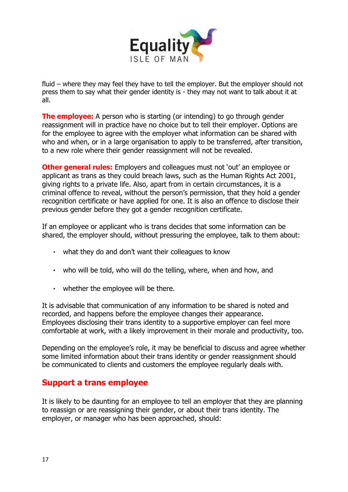

fluid – where they may feel they have to tell the employer. But the employer should not press them to say what their gender identity is - they may not want to talk about it at all.

**The employee:** A person who is starting (or intending) to go through gender reassignment will in practice have no choice but to tell their employer. Options are for the employee to agree with the employer what information can be shared with who and when, or in a large organisation to apply to be transferred, after transition, to a new role where their gender reassignment will not be revealed.

**Other general rules:** Employers and colleagues must not 'out' an employee or applicant as trans as they could breach laws, such as the Human Rights Act 2001, giving rights to a private life. Also, apart from in certain circumstances, it is a criminal offence to reveal, without the person's permission, that they hold a gender recognition certificate or have applied for one. It is also an offence to disclose their previous gender before they got a gender recognition certificate.

If an employee or applicant who is trans decides that some information can be shared, the employer should, without pressuring the employee, talk to them about:

- what they do and don't want their colleagues to know
- who will be told, who will do the telling, where, when and how, and
- whether the employee will be there.

It is advisable that communication of any information to be shared is noted and recorded, and happens before the employee changes their appearance. Employees disclosing their trans identity to a supportive employer can feel more comfortable at work, with a likely improvement in their morale and productivity, too.

Depending on the employee's role, it may be beneficial to discuss and agree whether some limited information about their trans identity or gender reassignment should be communicated to clients and customers the employee regularly deals with.

#### **Support a trans employee**

It is likely to be daunting for an employee to tell an employer that they are planning to reassign or are reassigning their gender, or about their trans identity. The employer, or manager who has been approached, should: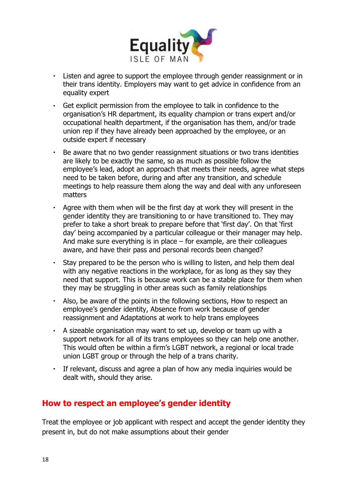

- Listen and agree to support the employee through gender reassignment or in  $\mathbf{r}$  . their trans identity. Employers may want to get advice in confidence from an equality expert
- Get explicit permission from the employee to talk in confidence to the  $\mathbf{r}$  . organisation's HR department, its equality champion or trans expert and/or occupational health department, if the organisation has them, and/or trade union rep if they have already been approached by the employee, or an outside expert if necessary
- Be aware that no two gender reassignment situations or two trans identities  $\blacksquare$ are likely to be exactly the same, so as much as possible follow the employee's lead, adopt an approach that meets their needs, agree what steps need to be taken before, during and after any transition, and schedule meetings to help reassure them along the way and deal with any unforeseen matters
- Agree with them when will be the first day at work they will present in the gender identity they are transitioning to or have transitioned to. They may prefer to take a short break to prepare before that 'first day'. On that 'first day' being accompanied by a particular colleague or their manager may help. And make sure everything is in place  $-$  for example, are their colleagues aware, and have their pass and personal records been changed?
- Stay prepared to be the person who is willing to listen, and help them deal with any negative reactions in the workplace, for as long as they say they need that support. This is because work can be a stable place for them when they may be struggling in other areas such as family relationships
- Also, be aware of the points in the following sections, How to respect an employee's gender identity, Absence from work because of gender reassignment and Adaptations at work to help trans employees
- A sizeable organisation may want to set up, develop or team up with a support network for all of its trans employees so they can help one another. This would often be within a firm's LGBT network, a regional or local trade union LGBT group or through the help of a trans charity.
- If relevant, discuss and agree a plan of how any media inquiries would be dealt with, should they arise.

## **How to respect an employee's gender identity**

Treat the employee or job applicant with respect and accept the gender identity they present in, but do not make assumptions about their gender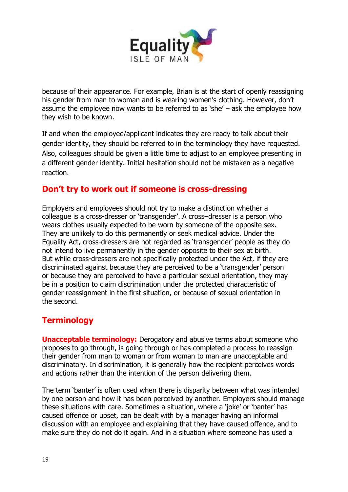

because of their appearance. For example, Brian is at the start of openly reassigning his gender from man to woman and is wearing women's clothing. However, don't assume the employee now wants to be referred to as 'she' – ask the employee how they wish to be known.

If and when the employee/applicant indicates they are ready to talk about their gender identity, they should be referred to in the terminology they have requested. Also, colleagues should be given a little time to adjust to an employee presenting in a different gender identity. Initial hesitation should not be mistaken as a negative reaction.

## **Don't try to work out if someone is cross-dressing**

Employers and employees should not try to make a distinction whether a colleague is a cross-dresser or 'transgender'. A cross–dresser is a person who wears clothes usually expected to be worn by someone of the opposite sex. They are unlikely to do this permanently or seek medical advice. Under the Equality Act, cross-dressers are not regarded as 'transgender' people as they do not intend to live permanently in the gender opposite to their sex at birth. But while cross-dressers are not specifically protected under the Act, if they are discriminated against because they are perceived to be a 'transgender' person or because they are perceived to have a particular sexual orientation, they may be in a position to claim discrimination under the protected characteristic of gender reassignment in the first situation, or because of sexual orientation in the second.

# **Terminology**

**Unacceptable terminology:** Derogatory and abusive terms about someone who proposes to go through, is going through or has completed a process to reassign their gender from man to woman or from woman to man are unacceptable and discriminatory. In discrimination, it is generally how the recipient perceives words and actions rather than the intention of the person delivering them.

The term 'banter' is often used when there is disparity between what was intended by one person and how it has been perceived by another. Employers should manage these situations with care. Sometimes a situation, where a 'joke' or 'banter' has caused offence or upset, can be dealt with by a manager having an informal discussion with an employee and explaining that they have caused offence, and to make sure they do not do it again. And in a situation where someone has used a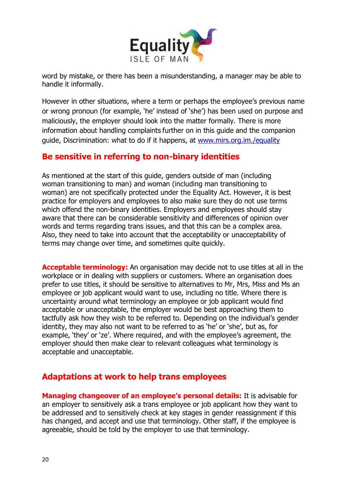

word by mistake, or there has been a misunderstanding, a manager may be able to handle it informally.

However in other situations, where a term or perhaps the employee's previous name or wrong pronoun (for example, 'he' instead of 'she') has been used on purpose and maliciously, the employer should look into the matter formally. There is more information about handling complaints further on in this guide and the companion guide, Discrimination: what to do if it happens, at [www.mirs.org.im./equality](http://www.mirs.org.im./equality)

## **Be sensitive in referring to non-binary identities**

As mentioned at the start of this guide, genders outside of man (including woman transitioning to man) and woman (including man transitioning to woman) are not specifically protected under the Equality Act. However, it is best practice for employers and employees to also make sure they do not use terms which offend the non-binary identities. Employers and employees should stay aware that there can be considerable sensitivity and differences of opinion over words and terms regarding trans issues, and that this can be a complex area. Also, they need to take into account that the acceptability or unacceptability of terms may change over time, and sometimes quite quickly.

**Acceptable terminology:** An organisation may decide not to use titles at all in the workplace or in dealing with suppliers or customers. Where an organisation does prefer to use titles, it should be sensitive to alternatives to Mr, Mrs, Miss and Ms an employee or job applicant would want to use, including no title. Where there is uncertainty around what terminology an employee or job applicant would find acceptable or unacceptable, the employer would be best approaching them to tactfully ask how they wish to be referred to. Depending on the individual's gender identity, they may also not want to be referred to as 'he' or 'she', but as, for example, 'they' or 'ze'. Where required, and with the employee's agreement, the employer should then make clear to relevant colleagues what terminology is acceptable and unacceptable.

## **Adaptations at work to help trans employees**

**Managing changeover of an employee's personal details:** It is advisable for an employer to sensitively ask a trans employee or job applicant how they want to be addressed and to sensitively check at key stages in gender reassignment if this has changed, and accept and use that terminology. Other staff, if the employee is agreeable, should be told by the employer to use that terminology.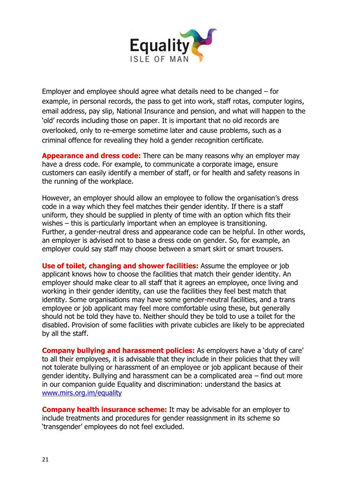

Employer and employee should agree what details need to be changed – for example, in personal records, the pass to get into work, staff rotas, computer logins, email address, pay slip, National Insurance and pension, and what will happen to the 'old' records including those on paper. It is important that no old records are overlooked, only to re-emerge sometime later and cause problems, such as a criminal offence for revealing they hold a gender recognition certificate.

**Appearance and dress code:** There can be many reasons why an employer may have a dress code. For example, to communicate a corporate image, ensure customers can easily identify a member of staff, or for health and safety reasons in the running of the workplace.

However, an employer should allow an employee to follow the organisation's dress code in a way which they feel matches their gender identity. If there is a staff uniform, they should be supplied in plenty of time with an option which fits their wishes – this is particularly important when an employee is transitioning. Further, a gender-neutral dress and appearance code can be helpful. In other words, an employer is advised not to base a dress code on gender. So, for example, an employer could say staff may choose between a smart skirt or smart trousers.

**Use of toilet, changing and shower facilities:** Assume the employee or job applicant knows how to choose the facilities that match their gender identity. An employer should make clear to all staff that it agrees an employee, once living and working in their gender identity, can use the facilities they feel best match that identity. Some organisations may have some gender-neutral facilities, and a trans employee or job applicant may feel more comfortable using these, but generally should not be told they have to. Neither should they be told to use a toilet for the disabled. Provision of some facilities with private cubicles are likely to be appreciated by all the staff.

**Company bullying and harassment policies:** As employers have a 'duty of care' to all their employees, it is advisable that they include in their policies that they will not tolerate bullying or harassment of an employee or job applicant because of their gender identity. Bullying and harassment can be a complicated area – find out more in our companion guide Equality and discrimination: understand the basics at [www.mirs.org.im/equality](http://www.mirs.org.im/equality)

**Company health insurance scheme:** It may be advisable for an employer to include treatments and procedures for gender reassignment in its scheme so 'transgender' employees do not feel excluded.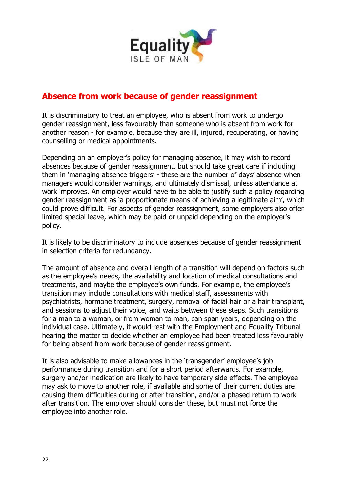

# **Absence from work because of gender reassignment**

It is discriminatory to treat an employee, who is absent from work to undergo gender reassignment, less favourably than someone who is absent from work for another reason - for example, because they are ill, injured, recuperating, or having counselling or medical appointments.

Depending on an employer's policy for managing absence, it may wish to record absences because of gender reassignment, but should take great care if including them in 'managing absence triggers' - these are the number of days' absence when managers would consider warnings, and ultimately dismissal, unless attendance at work improves. An employer would have to be able to justify such a policy regarding gender reassignment as 'a proportionate means of achieving a legitimate aim', which could prove difficult. For aspects of gender reassignment, some employers also offer limited special leave, which may be paid or unpaid depending on the employer's policy.

It is likely to be discriminatory to include absences because of gender reassignment in selection criteria for redundancy.

The amount of absence and overall length of a transition will depend on factors such as the employee's needs, the availability and location of medical consultations and treatments, and maybe the employee's own funds. For example, the employee's transition may include consultations with medical staff, assessments with psychiatrists, hormone treatment, surgery, removal of facial hair or a hair transplant, and sessions to adjust their voice, and waits between these steps. Such transitions for a man to a woman, or from woman to man, can span years, depending on the individual case. Ultimately, it would rest with the Employment and Equality Tribunal hearing the matter to decide whether an employee had been treated less favourably for being absent from work because of gender reassignment.

It is also advisable to make allowances in the 'transgender' employee's job performance during transition and for a short period afterwards. For example, surgery and/or medication are likely to have temporary side effects. The employee may ask to move to another role, if available and some of their current duties are causing them difficulties during or after transition, and/or a phased return to work after transition. The employer should consider these, but must not force the employee into another role.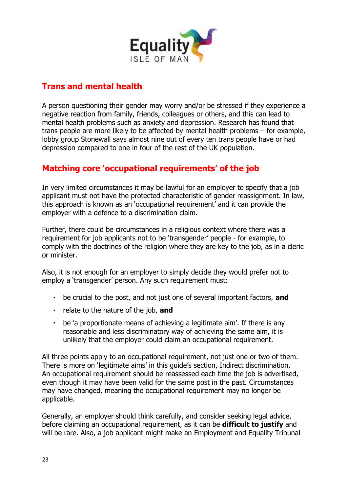

# **Trans and mental health**

A person questioning their gender may worry and/or be stressed if they experience a negative reaction from family, friends, colleagues or others, and this can lead to mental health problems such as anxiety and depression. Research has found that trans people are more likely to be affected by mental health problems – for example, lobby group Stonewall says almost nine out of every ten trans people have or had depression compared to one in four of the rest of the UK population.

# **Matching core 'occupational requirements' of the job**

In very limited circumstances it may be lawful for an employer to specify that a job applicant must not have the protected characteristic of gender reassignment. In law, this approach is known as an 'occupational requirement' and it can provide the employer with a defence to a discrimination claim.

Further, there could be circumstances in a religious context where there was a requirement for job applicants not to be 'transgender' people - for example, to comply with the doctrines of the religion where they are key to the job, as in a cleric or minister.

Also, it is not enough for an employer to simply decide they would prefer not to employ a 'transgender' person. Any such requirement must:

- be crucial to the post, and not just one of several important factors, **and**
- relate to the nature of the job, **and**
- be 'a proportionate means of achieving a legitimate aim'. If there is any reasonable and less discriminatory way of achieving the same aim, it is unlikely that the employer could claim an occupational requirement.

All three points apply to an occupational requirement, not just one or two of them. There is more on 'legitimate aims' in this guide's section, Indirect discrimination. An occupational requirement should be reassessed each time the job is advertised, even though it may have been valid for the same post in the past. Circumstances may have changed, meaning the occupational requirement may no longer be applicable.

Generally, an employer should think carefully, and consider seeking legal advice, before claiming an occupational requirement, as it can be **difficult to justify** and will be rare. Also, a job applicant might make an Employment and Equality Tribunal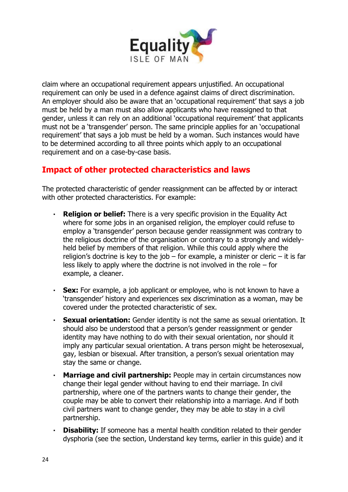

claim where an occupational requirement appears unjustified. An occupational requirement can only be used in a defence against claims of direct discrimination. An employer should also be aware that an 'occupational requirement' that says a job must be held by a man must also allow applicants who have reassigned to that gender, unless it can rely on an additional 'occupational requirement' that applicants must not be a 'transgender' person. The same principle applies for an 'occupational requirement' that says a job must be held by a woman. Such instances would have to be determined according to all three points which apply to an occupational requirement and on a case-by-case basis.

# **Impact of other protected characteristics and laws**

The protected characteristic of gender reassignment can be affected by or interact with other protected characteristics. For example:

- **Religion or belief:** There is a very specific provision in the Equality Act  $\mathbf{r}^{\left(1\right)}$ where for some jobs in an organised religion, the employer could refuse to employ a 'transgender' person because gender reassignment was contrary to the religious doctrine of the organisation or contrary to a strongly and widelyheld belief by members of that religion. While this could apply where the religion's doctrine is key to the job – for example, a minister or cleric – it is far less likely to apply where the doctrine is not involved in the role – for example, a cleaner.
- $\mathbf{r}$ **Sex:** For example, a job applicant or employee, who is not known to have a 'transgender' history and experiences sex discrimination as a woman, may be covered under the protected characteristic of sex.
- **Sexual orientation:** Gender identity is not the same as sexual orientation. It should also be understood that a person's gender reassignment or gender identity may have nothing to do with their sexual orientation, nor should it imply any particular sexual orientation. A trans person might be heterosexual, gay, lesbian or bisexual. After transition, a person's sexual orientation may stay the same or change.
- **Marriage and civil partnership:** People may in certain circumstances now ä, change their legal gender without having to end their marriage. In civil partnership, where one of the partners wants to change their gender, the couple may be able to convert their relationship into a marriage. And if both civil partners want to change gender, they may be able to stay in a civil partnership.
- **Disability:** If someone has a mental health condition related to their gender  $\mathbf{r}$ dysphoria (see the section, Understand key terms, earlier in this guide) and it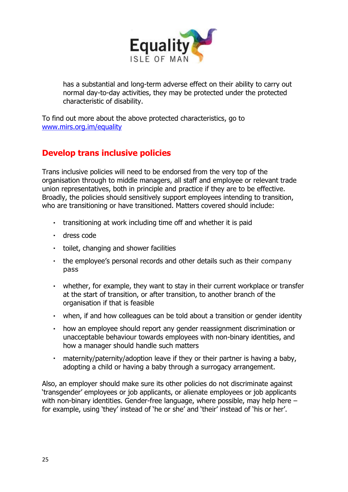

has a substantial and long-term adverse effect on their ability to carry out normal day-to-day activities, they may be protected under the protected characteristic of disability.

To find out more about the above protected characteristics, go to [www.mirs.org.im/equality](http://www.mirs.org.im/equality)

# **Develop trans inclusive policies**

Trans inclusive policies will need to be endorsed from the very top of the organisation through to middle managers, all staff and employee or relevant trade union representatives, both in principle and practice if they are to be effective. Broadly, the policies should sensitively support employees intending to transition, who are transitioning or have transitioned. Matters covered should include:

- transitioning at work including time off and whether it is paid
- dress code
- toilet, changing and shower facilities
- the employee's personal records and other details such as their company pass
- whether, for example, they want to stay in their current workplace or transfer at the start of transition, or after transition, to another branch of the organisation if that is feasible
- when, if and how colleagues can be told about a transition or gender identity
- $\mathbf{r}$  . how an employee should report any gender reassignment discrimination or unacceptable behaviour towards employees with non-binary identities, and how a manager should handle such matters
- $\mathbf{r}$  . maternity/paternity/adoption leave if they or their partner is having a baby, adopting a child or having a baby through a surrogacy arrangement.

Also, an employer should make sure its other policies do not discriminate against 'transgender' employees or job applicants, or alienate employees or job applicants with non-binary identities. Gender-free language, where possible, may help here – for example, using 'they' instead of 'he or she' and 'their' instead of 'his or her'.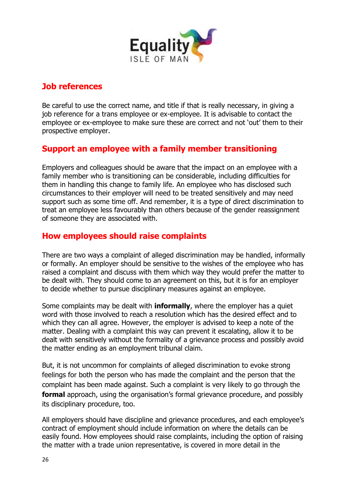

## **Job references**

Be careful to use the correct name, and title if that is really necessary, in giving a job reference for a trans employee or ex-employee. It is advisable to contact the employee or ex-employee to make sure these are correct and not 'out' them to their prospective employer.

# **Support an employee with a family member transitioning**

Employers and colleagues should be aware that the impact on an employee with a family member who is transitioning can be considerable, including difficulties for them in handling this change to family life. An employee who has disclosed such circumstances to their employer will need to be treated sensitively and may need support such as some time off. And remember, it is a type of direct discrimination to treat an employee less favourably than others because of the gender reassignment of someone they are associated with.

## **How employees should raise complaints**

There are two ways a complaint of alleged discrimination may be handled, informally or formally. An employer should be sensitive to the wishes of the employee who has raised a complaint and discuss with them which way they would prefer the matter to be dealt with. They should come to an agreement on this, but it is for an employer to decide whether to pursue disciplinary measures against an employee.

Some complaints may be dealt with **informally**, where the employer has a quiet word with those involved to reach a resolution which has the desired effect and to which they can all agree. However, the employer is advised to keep a note of the matter. Dealing with a complaint this way can prevent it escalating, allow it to be dealt with sensitively without the formality of a grievance process and possibly avoid the matter ending as an employment tribunal claim.

But, it is not uncommon for complaints of alleged discrimination to evoke strong feelings for both the person who has made the complaint and the person that the complaint has been made against. Such a complaint is very likely to go through the **formal** approach, using the organisation's formal grievance procedure, and possibly its disciplinary procedure, too.

All employers should have discipline and grievance procedures, and each employee's contract of employment should include information on where the details can be easily found. How employees should raise complaints, including the option of raising the matter with a trade union representative, is covered in more detail in the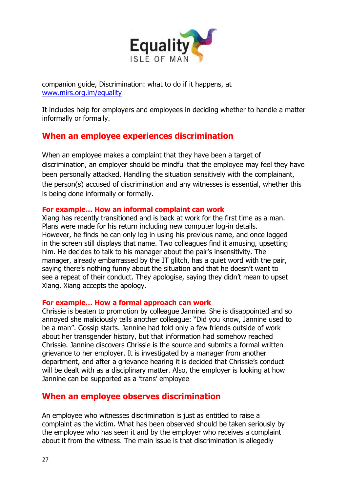

companion guide, Discrimination: what to do if it happens, at [www.mirs.org.im/equality](http://www.mirs.org.im/equality)

It includes help for employers and employees in deciding whether to handle a matter informally or formally.

# **When an employee experiences discrimination**

When an employee makes a complaint that they have been a target of discrimination, an employer should be mindful that the employee may feel they have been personally attacked. Handling the situation sensitively with the complainant, the person(s) accused of discrimination and any witnesses is essential, whether this is being done informally or formally.

#### **For example… How an informal complaint can work**

Xiang has recently transitioned and is back at work for the first time as a man. Plans were made for his return including new computer log-in details. However, he finds he can only log in using his previous name, and once logged in the screen still displays that name. Two colleagues find it amusing, upsetting him. He decides to talk to his manager about the pair's insensitivity. The manager, already embarrassed by the IT glitch, has a quiet word with the pair, saying there's nothing funny about the situation and that he doesn't want to see a repeat of their conduct. They apologise, saying they didn't mean to upset Xiang. Xiang accepts the apology.

#### **For example… How a formal approach can work**

Chrissie is beaten to promotion by colleague Jannine. She is disappointed and so annoyed she maliciously tells another colleague: "Did you know, Jannine used to be a man". Gossip starts. Jannine had told only a few friends outside of work about her transgender history, but that information had somehow reached Chrissie. Jannine discovers Chrissie is the source and submits a formal written grievance to her employer. It is investigated by a manager from another department, and after a grievance hearing it is decided that Chrissie's conduct will be dealt with as a disciplinary matter. Also, the employer is looking at how Jannine can be supported as a 'trans' employee

## **When an employee observes discrimination**

An employee who witnesses discrimination is just as entitled to raise a complaint as the victim. What has been observed should be taken seriously by the employee who has seen it and by the employer who receives a complaint about it from the witness. The main issue is that discrimination is allegedly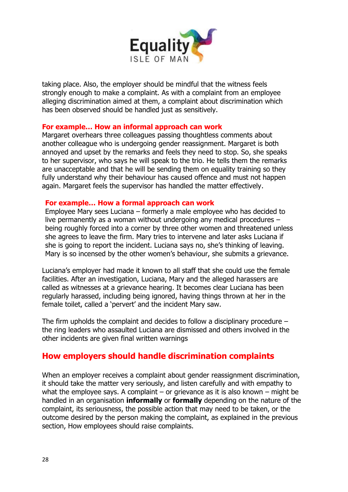

taking place. Also, the employer should be mindful that the witness feels strongly enough to make a complaint. As with a complaint from an employee alleging discrimination aimed at them, a complaint about discrimination which has been observed should be handled just as sensitively.

#### **For example… How an informal approach can work**

Margaret overhears three colleagues passing thoughtless comments about another colleague who is undergoing gender reassignment. Margaret is both annoyed and upset by the remarks and feels they need to stop. So, she speaks to her supervisor, who says he will speak to the trio. He tells them the remarks are unacceptable and that he will be sending them on equality training so they fully understand why their behaviour has caused offence and must not happen again. Margaret feels the supervisor has handled the matter effectively.

#### **For example… How a formal approach can work**

Employee Mary sees Luciana – formerly a male employee who has decided to live permanently as a woman without undergoing any medical procedures – being roughly forced into a corner by three other women and threatened unless she agrees to leave the firm. Mary tries to intervene and later asks Luciana if she is going to report the incident. Luciana says no, she's thinking of leaving. Mary is so incensed by the other women's behaviour, she submits a grievance.

Luciana's employer had made it known to all staff that she could use the female facilities. After an investigation, Luciana, Mary and the alleged harassers are called as witnesses at a grievance hearing. It becomes clear Luciana has been regularly harassed, including being ignored, having things thrown at her in the female toilet, called a 'pervert' and the incident Mary saw.

The firm upholds the complaint and decides to follow a disciplinary procedure  $$ the ring leaders who assaulted Luciana are dismissed and others involved in the other incidents are given final written warnings

## **How employers should handle discrimination complaints**

When an employer receives a complaint about gender reassignment discrimination, it should take the matter very seriously, and listen carefully and with empathy to what the employee says. A complaint – or grievance as it is also known – might be handled in an organisation **informally** or **formally** depending on the nature of the complaint, its seriousness, the possible action that may need to be taken, or the outcome desired by the person making the complaint, as explained in the previous section, How employees should raise complaints.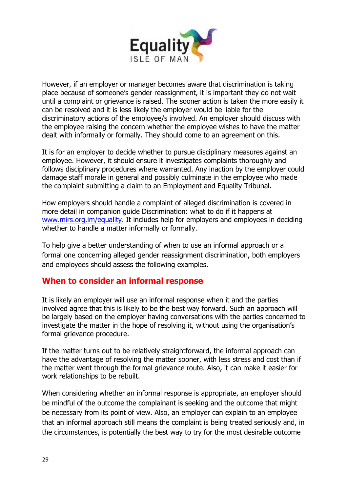

However, if an employer or manager becomes aware that discrimination is taking place because of someone's gender reassignment, it is important they do not wait until a complaint or grievance is raised. The sooner action is taken the more easily it can be resolved and it is less likely the employer would be liable for the discriminatory actions of the employee/s involved. An employer should discuss with the employee raising the concern whether the employee wishes to have the matter dealt with informally or formally. They should come to an agreement on this.

It is for an employer to decide whether to pursue disciplinary measures against an employee. However, it should ensure it investigates complaints thoroughly and follows disciplinary procedures where warranted. Any inaction by the employer could damage staff morale in general and possibly culminate in the employee who made the complaint submitting a claim to an Employment and Equality Tribunal.

How employers should handle a complaint of alleged discrimination is covered in more detail in companion guide Discrimination: what to do if it happens at [www.mirs.org.im/equality.](http://www.mirs.org.im/equality) It includes help for employers and employees in deciding whether to handle a matter informally or formally.

To help give a better understanding of when to use an informal approach or a formal one concerning alleged gender reassignment discrimination, both employers and employees should assess the following examples.

#### **When to consider an informal response**

It is likely an employer will use an informal response when it and the parties involved agree that this is likely to be the best way forward. Such an approach will be largely based on the employer having conversations with the parties concerned to investigate the matter in the hope of resolving it, without using the organisation's formal grievance procedure.

If the matter turns out to be relatively straightforward, the informal approach can have the advantage of resolving the matter sooner, with less stress and cost than if the matter went through the formal grievance route. Also, it can make it easier for work relationships to be rebuilt.

When considering whether an informal response is appropriate, an employer should be mindful of the outcome the complainant is seeking and the outcome that might be necessary from its point of view. Also, an employer can explain to an employee that an informal approach still means the complaint is being treated seriously and, in the circumstances, is potentially the best way to try for the most desirable outcome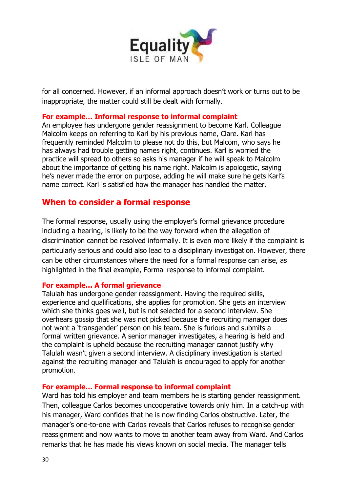

for all concerned. However, if an informal approach doesn't work or turns out to be inappropriate, the matter could still be dealt with formally.

#### **For example… Informal response to informal complaint**

An employee has undergone gender reassignment to become Karl. Colleague Malcolm keeps on referring to Karl by his previous name, Clare. Karl has frequently reminded Malcolm to please not do this, but Malcom, who says he has always had trouble getting names right, continues. Karl is worried the practice will spread to others so asks his manager if he will speak to Malcolm about the importance of getting his name right. Malcolm is apologetic, saying he's never made the error on purpose, adding he will make sure he gets Karl's name correct. Karl is satisfied how the manager has handled the matter.

### **When to consider a formal response**

The formal response, usually using the employer's formal grievance procedure including a hearing, is likely to be the way forward when the allegation of discrimination cannot be resolved informally. It is even more likely if the complaint is particularly serious and could also lead to a disciplinary investigation. However, there can be other circumstances where the need for a formal response can arise, as highlighted in the final example, Formal response to informal complaint.

#### **For example… A formal grievance**

Talulah has undergone gender reassignment. Having the required skills, experience and qualifications, she applies for promotion. She gets an interview which she thinks goes well, but is not selected for a second interview. She overhears gossip that she was not picked because the recruiting manager does not want a 'transgender' person on his team. She is furious and submits a formal written grievance. A senior manager investigates, a hearing is held and the complaint is upheld because the recruiting manager cannot justify why Talulah wasn't given a second interview. A disciplinary investigation is started against the recruiting manager and Talulah is encouraged to apply for another promotion.

#### **For example… Formal response to informal complaint**

Ward has told his employer and team members he is starting gender reassignment. Then, colleague Carlos becomes uncooperative towards only him. In a catch-up with his manager, Ward confides that he is now finding Carlos obstructive. Later, the manager's one-to-one with Carlos reveals that Carlos refuses to recognise gender reassignment and now wants to move to another team away from Ward. And Carlos remarks that he has made his views known on social media. The manager tells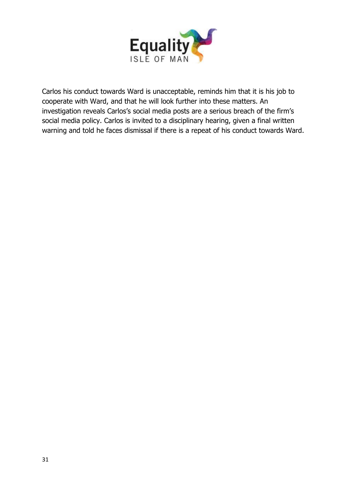

Carlos his conduct towards Ward is unacceptable, reminds him that it is his job to cooperate with Ward, and that he will look further into these matters. An investigation reveals Carlos's social media posts are a serious breach of the firm's social media policy. Carlos is invited to a disciplinary hearing, given a final written warning and told he faces dismissal if there is a repeat of his conduct towards Ward.